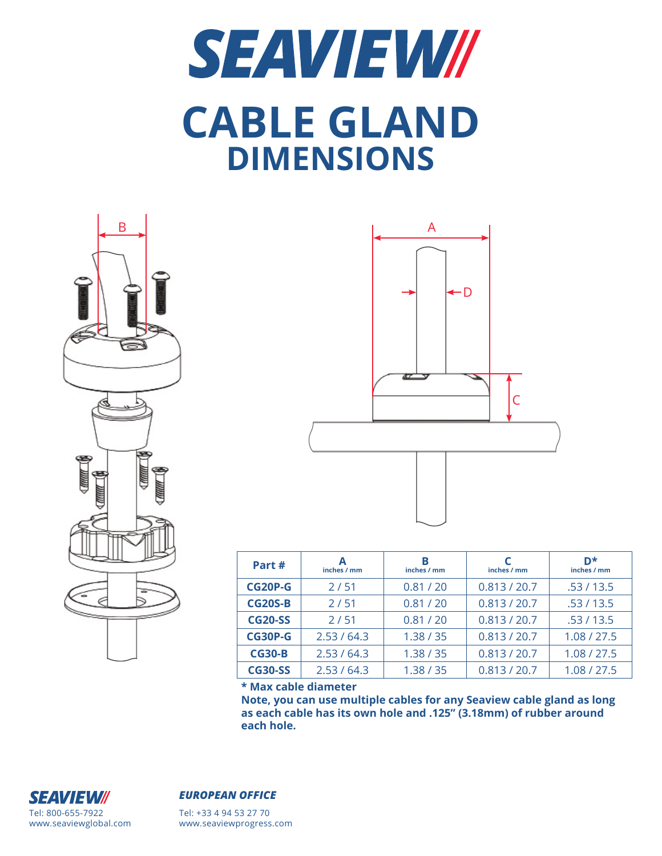## **SEAVIEW// CABLE GLAND DIMENSIONS**





| Part#          | А<br>inches / mm | в<br>inches / mm | inches / mm  | D*<br>inches / mm |  |
|----------------|------------------|------------------|--------------|-------------------|--|
| CG20P-G        | 2/51             | 0.81 / 20        | 0.813 / 20.7 | .53/13.5          |  |
| <b>CG20S-B</b> | 2/51             | 0.81 / 20        | 0.813 / 20.7 | .53/13.5          |  |
| <b>CG20-SS</b> | 2/51             | 0.81 / 20        | 0.813 / 20.7 | .53/13.5          |  |
| CG30P-G        | 2.53/64.3        | 1.38 / 35        | 0.813 / 20.7 | 1.08 / 27.5       |  |
| <b>CG30-B</b>  | 2.53/64.3        | 1.38 / 35        | 0.813 / 20.7 | 1.08 / 27.5       |  |
| <b>CG30-SS</b> | 2.53/64.3        | 1.38 / 35        | 0.813 / 20.7 | 1.08 / 27.5       |  |

**\* Max cable diameter**

**Note, you can use multiple cables for any Seaview cable gland as long as each cable has its own hole and .125" (3.18mm) of rubber around each hole.**



## *EUROPEAN OFFICE*

Tel: +33 4 94 53 27 70 www.seaviewprogress.com